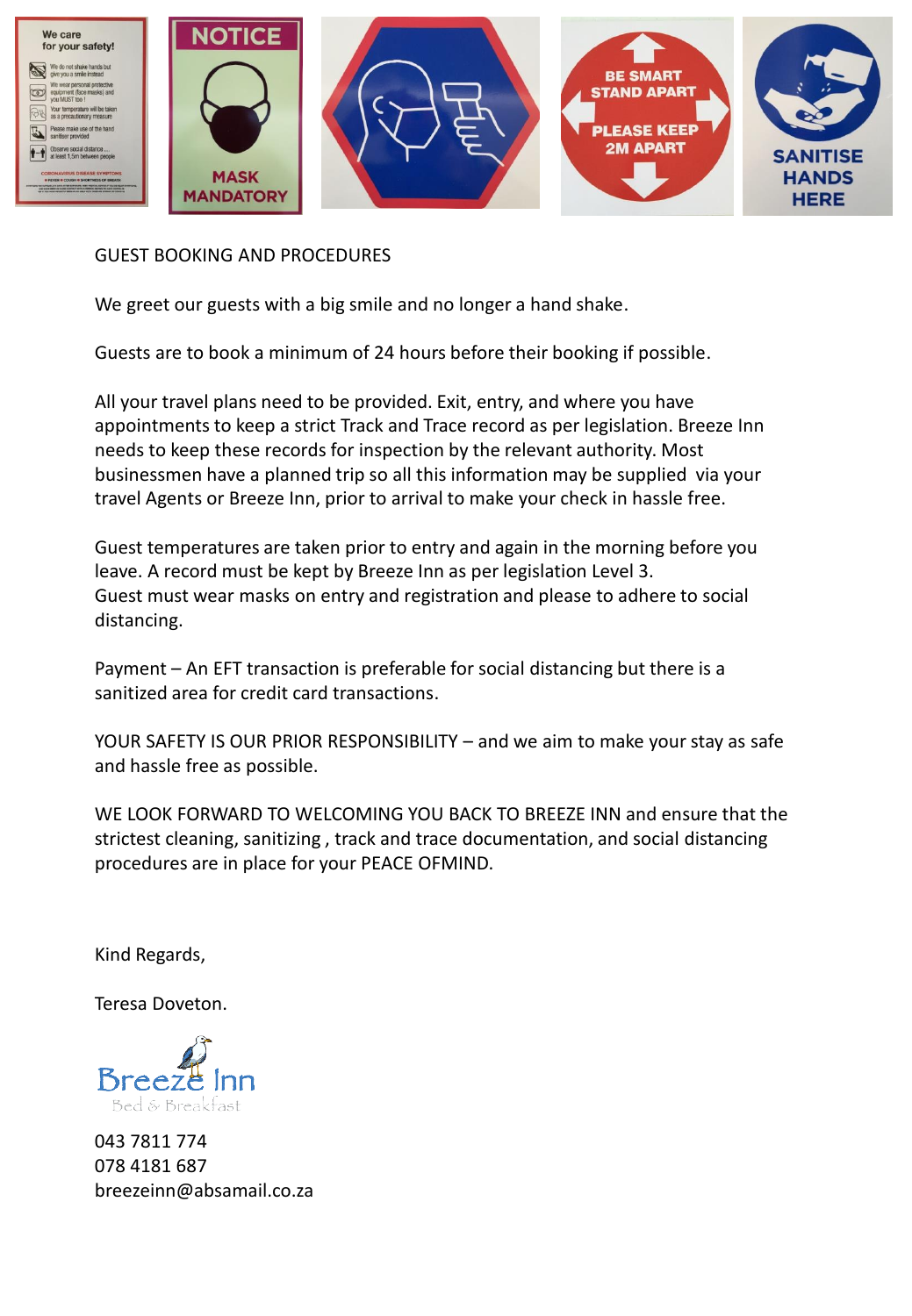

## GUEST BOOKING AND PROCEDURES

We greet our guests with a big smile and no longer a hand shake.

Guests are to book a minimum of 24 hours before their booking if possible.

All your travel plans need to be provided. Exit, entry, and where you have appointments to keep a strict Track and Trace record as per legislation. Breeze Inn needs to keep these records for inspection by the relevant authority. Most businessmen have a planned trip so all this information may be supplied via your travel Agents or Breeze Inn, prior to arrival to make your check in hassle free.

Guest temperatures are taken prior to entry and again in the morning before you leave. A record must be kept by Breeze Inn as per legislation Level 3. Guest must wear masks on entry and registration and please to adhere to social distancing.

Payment – An EFT transaction is preferable for social distancing but there is a sanitized area for credit card transactions.

YOUR SAFETY IS OUR PRIOR RESPONSIBILITY – and we aim to make your stay as safe and hassle free as possible.

WE LOOK FORWARD TO WELCOMING YOU BACK TO BREEZE INN and ensure that the strictest cleaning, sanitizing , track and trace documentation, and social distancing procedures are in place for your PEACE OFMIND.

Kind Regards,

Teresa Doveton.



043 7811 774 078 4181 687 breezeinn@absamail.co.za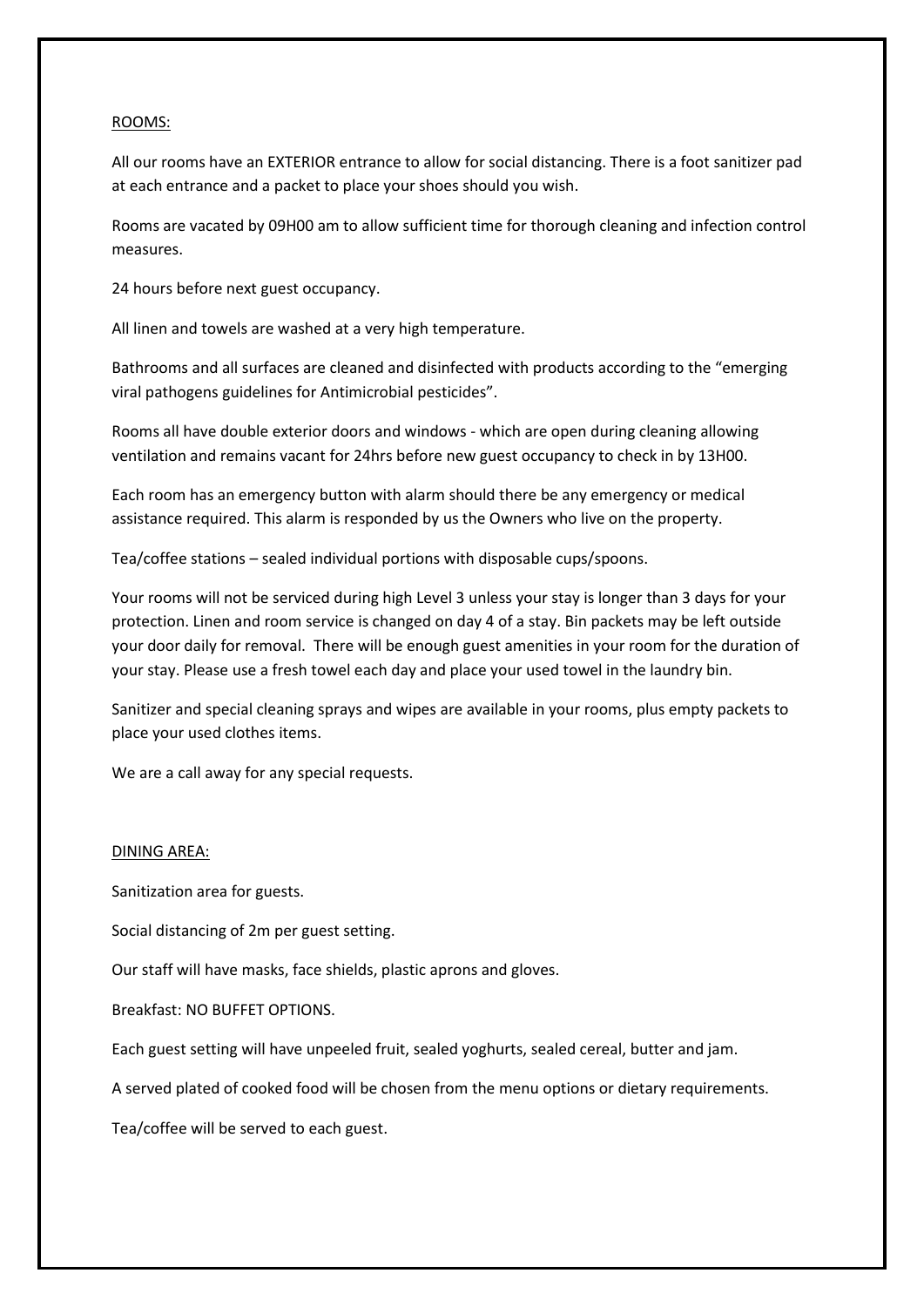## ROOMS:

All our rooms have an EXTERIOR entrance to allow for social distancing. There is a foot sanitizer pad at each entrance and a packet to place your shoes should you wish.

Rooms are vacated by 09H00 am to allow sufficient time for thorough cleaning and infection control measures.

24 hours before next guest occupancy.

All linen and towels are washed at a very high temperature.

Bathrooms and all surfaces are cleaned and disinfected with products according to the "emerging viral pathogens guidelines for Antimicrobial pesticides".

Rooms all have double exterior doors and windows - which are open during cleaning allowing ventilation and remains vacant for 24hrs before new guest occupancy to check in by 13H00.

Each room has an emergency button with alarm should there be any emergency or medical assistance required. This alarm is responded by us the Owners who live on the property.

Tea/coffee stations – sealed individual portions with disposable cups/spoons.

Your rooms will not be serviced during high Level 3 unless your stay is longer than 3 days for your protection. Linen and room service is changed on day 4 of a stay. Bin packets may be left outside your door daily for removal. There will be enough guest amenities in your room for the duration of your stay. Please use a fresh towel each day and place your used towel in the laundry bin.

Sanitizer and special cleaning sprays and wipes are available in your rooms, plus empty packets to place your used clothes items.

We are a call away for any special requests.

## DINING AREA:

Sanitization area for guests.

Social distancing of 2m per guest setting.

Our staff will have masks, face shields, plastic aprons and gloves.

Breakfast: NO BUFFET OPTIONS.

Each guest setting will have unpeeled fruit, sealed yoghurts, sealed cereal, butter and jam.

A served plated of cooked food will be chosen from the menu options or dietary requirements.

Tea/coffee will be served to each guest.